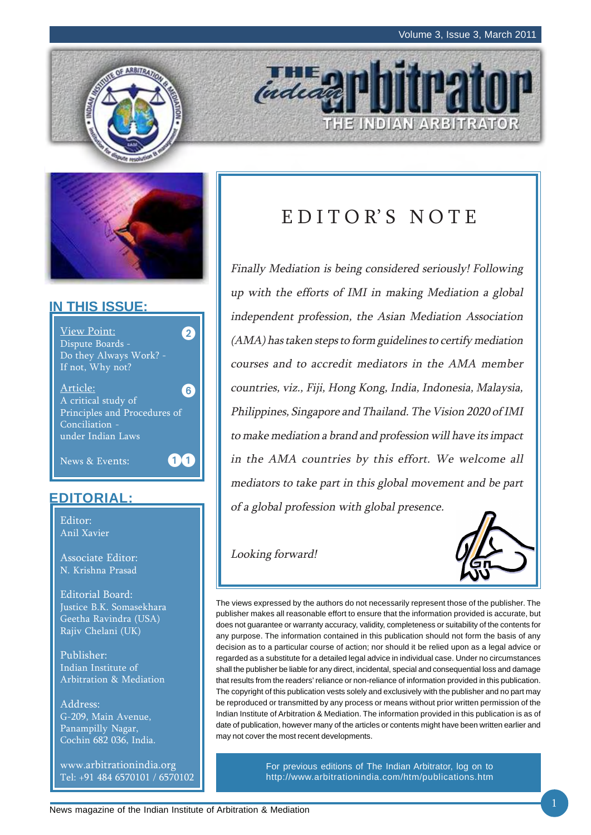



### **IN THIS ISSUE:**



### **EDITORIAL:**

Editor: Anil Xavier

Associate Editor: N. Krishna Prasad

Editorial Board: Justice B.K. Somasekhara Geetha Ravindra (USA) Rajiv Chelani (UK)

Publisher: Indian Institute of Arbitration & Mediation

Address: G-209, Main Avenue, Panampilly Nagar, Cochin 682 036, India.

www.arbitrationindia.org Tel: +91 484 6570101 / 6570102

# EDITOR'S NOTE

THE INDIAN ARBITRATOR

indead

Finally Mediation is being considered seriously! Following up with the efforts of IMI in making Mediation a global independent profession, the Asian Mediation Association (AMA) has taken steps to form guidelines to certify mediation courses and to accredit mediators in the AMA member countries, viz., Fiji, Hong Kong, India, Indonesia, Malaysia, Philippines, Singapore and Thailand. The Vision 2020 of IMI to make mediation a brand and profession will have its impact in the AMA countries by this effort. We welcome all mediators to take part in this global movement and be part of a global profession with global presence.

Looking forward!



The views expressed by the authors do not necessarily represent those of the publisher. The publisher makes all reasonable effort to ensure that the information provided is accurate, but does not guarantee or warranty accuracy, validity, completeness or suitability of the contents for any purpose. The information contained in this publication should not form the basis of any decision as to a particular course of action; nor should it be relied upon as a legal advice or regarded as a substitute for a detailed legal advice in individual case. Under no circumstances shall the publisher be liable for any direct, incidental, special and consequential loss and damage that results from the readers' reliance or non-reliance of information provided in this publication. The copyright of this publication vests solely and exclusively with the publisher and no part may be reproduced or transmitted by any process or means without prior written permission of the Indian Institute of Arbitration & Mediation. The information provided in this publication is as of date of publication, however many of the articles or contents might have been written earlier and may not cover the most recent developments.

> For previous editions of The Indian Arbitrator, log on to http://www.arbitrationindia.com/htm/publications.htm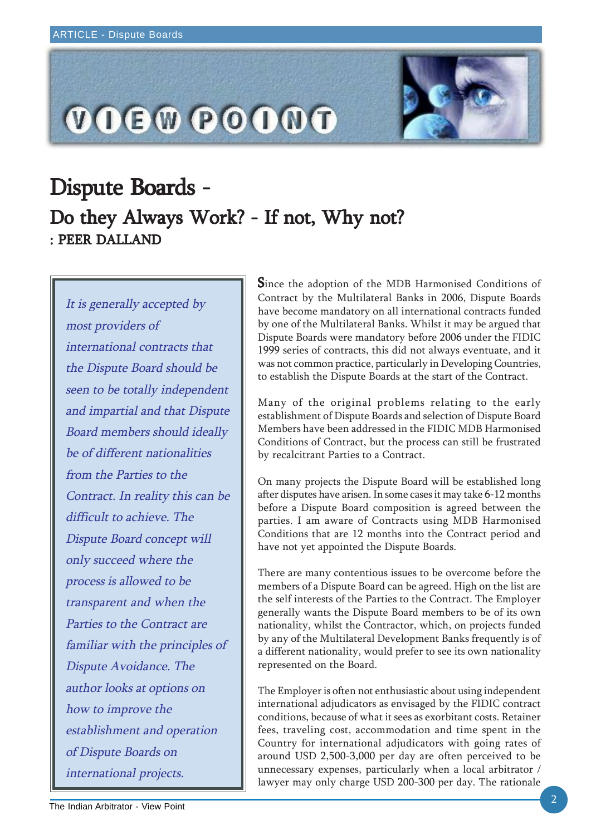

# Dispute Boards -: PEER DALLAND Do they Always Work? - If not, Why not?

It is generally accepted by most providers of international contracts that the Dispute Board should be seen to be totally independent and impartial and that Dispute Board members should ideally be of different nationalities from the Parties to the Contract. In reality this can be difficult to achieve. The Dispute Board concept will only succeed where the process is allowed to be transparent and when the Parties to the Contract are familiar with the principles of Dispute Avoidance. The author looks at options on how to improve the establishment and operation of Dispute Boards on international projects.

Since the adoption of the MDB Harmonised Conditions of Contract by the Multilateral Banks in 2006, Dispute Boards have become mandatory on all international contracts funded by one of the Multilateral Banks. Whilst it may be argued that Dispute Boards were mandatory before 2006 under the FIDIC 1999 series of contracts, this did not always eventuate, and it was not common practice, particularly in Developing Countries, to establish the Dispute Boards at the start of the Contract.

Many of the original problems relating to the early establishment of Dispute Boards and selection of Dispute Board Members have been addressed in the FIDIC MDB Harmonised Conditions of Contract, but the process can still be frustrated by recalcitrant Parties to a Contract.

On many projects the Dispute Board will be established long after disputes have arisen. In some cases it may take 6-12 months before a Dispute Board composition is agreed between the parties. I am aware of Contracts using MDB Harmonised Conditions that are 12 months into the Contract period and have not yet appointed the Dispute Boards.

There are many contentious issues to be overcome before the members of a Dispute Board can be agreed. High on the list are the self interests of the Parties to the Contract. The Employer generally wants the Dispute Board members to be of its own nationality, whilst the Contractor, which, on projects funded by any of the Multilateral Development Banks frequently is of a different nationality, would prefer to see its own nationality represented on the Board.

The Employer is often not enthusiastic about using independent international adjudicators as envisaged by the FIDIC contract conditions, because of what it sees as exorbitant costs. Retainer fees, traveling cost, accommodation and time spent in the Country for international adjudicators with going rates of around USD 2,500-3,000 per day are often perceived to be unnecessary expenses, particularly when a local arbitrator / lawyer may only charge USD 200-300 per day. The rationale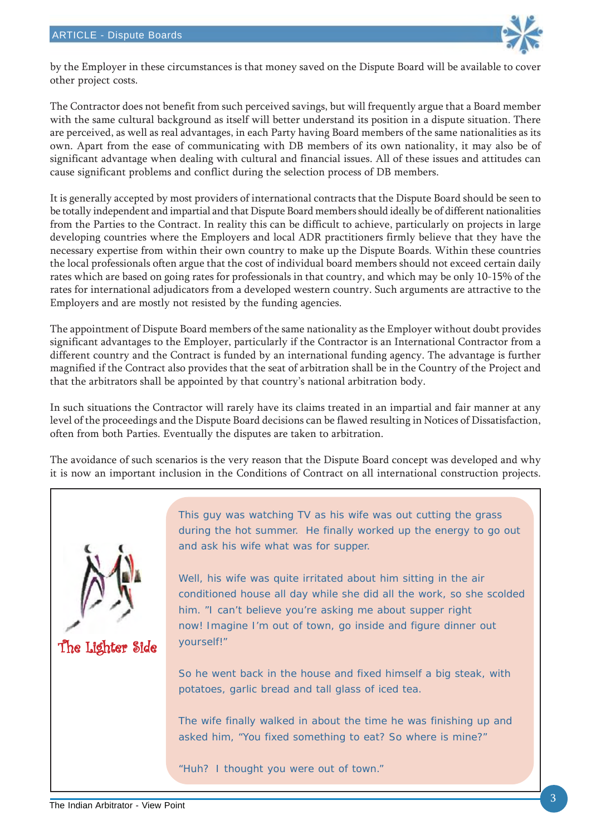

by the Employer in these circumstances is that money saved on the Dispute Board will be available to cover other project costs.

The Contractor does not benefit from such perceived savings, but will frequently argue that a Board member with the same cultural background as itself will better understand its position in a dispute situation. There are perceived, as well as real advantages, in each Party having Board members of the same nationalities as its own. Apart from the ease of communicating with DB members of its own nationality, it may also be of significant advantage when dealing with cultural and financial issues. All of these issues and attitudes can cause significant problems and conflict during the selection process of DB members.

It is generally accepted by most providers of international contracts that the Dispute Board should be seen to be totally independent and impartial and that Dispute Board members should ideally be of different nationalities from the Parties to the Contract. In reality this can be difficult to achieve, particularly on projects in large developing countries where the Employers and local ADR practitioners firmly believe that they have the necessary expertise from within their own country to make up the Dispute Boards. Within these countries the local professionals often argue that the cost of individual board members should not exceed certain daily rates which are based on going rates for professionals in that country, and which may be only 10-15% of the rates for international adjudicators from a developed western country. Such arguments are attractive to the Employers and are mostly not resisted by the funding agencies.

The appointment of Dispute Board members of the same nationality as the Employer without doubt provides significant advantages to the Employer, particularly if the Contractor is an International Contractor from a different country and the Contract is funded by an international funding agency. The advantage is further magnified if the Contract also provides that the seat of arbitration shall be in the Country of the Project and that the arbitrators shall be appointed by that country's national arbitration body.

In such situations the Contractor will rarely have its claims treated in an impartial and fair manner at any level of the proceedings and the Dispute Board decisions can be flawed resulting in Notices of Dissatisfaction, often from both Parties. Eventually the disputes are taken to arbitration.

The avoidance of such scenarios is the very reason that the Dispute Board concept was developed and why it is now an important inclusion in the Conditions of Contract on all international construction projects.

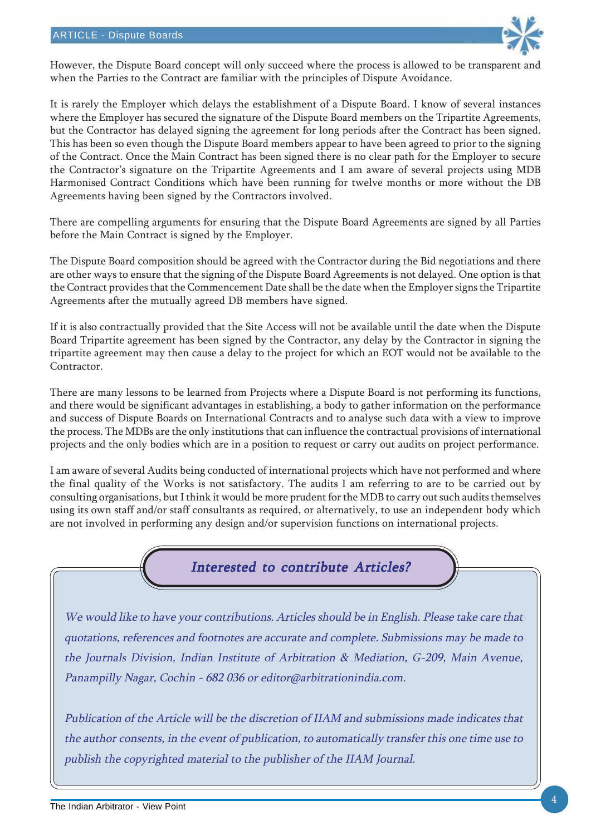

However, the Dispute Board concept will only succeed where the process is allowed to be transparent and when the Parties to the Contract are familiar with the principles of Dispute Avoidance.

It is rarely the Employer which delays the establishment of a Dispute Board. I know of several instances where the Employer has secured the signature of the Dispute Board members on the Tripartite Agreements, but the Contractor has delayed signing the agreement for long periods after the Contract has been signed. This has been so even though the Dispute Board members appear to have been agreed to prior to the signing of the Contract. Once the Main Contract has been signed there is no clear path for the Employer to secure the Contractor's signature on the Tripartite Agreements and I am aware of several projects using MDB Harmonised Contract Conditions which have been running for twelve months or more without the DB Agreements having been signed by the Contractors involved.

There are compelling arguments for ensuring that the Dispute Board Agreements are signed by all Parties before the Main Contract is signed by the Employer.

The Dispute Board composition should be agreed with the Contractor during the Bid negotiations and there are other ways to ensure that the signing of the Dispute Board Agreements is not delayed. One option is that the Contract provides that the Commencement Date shall be the date when the Employer signs the Tripartite Agreements after the mutually agreed DB members have signed.

If it is also contractually provided that the Site Access will not be available until the date when the Dispute Board Tripartite agreement has been signed by the Contractor, any delay by the Contractor in signing the tripartite agreement may then cause a delay to the project for which an EOT would not be available to the Contractor.

There are many lessons to be learned from Projects where a Dispute Board is not performing its functions, and there would be significant advantages in establishing, a body to gather information on the performance and success of Dispute Boards on International Contracts and to analyse such data with a view to improve the process. The MDBs are the only institutions that can influence the contractual provisions of international projects and the only bodies which are in a position to request or carry out audits on project performance.

I am aware of several Audits being conducted of international projects which have not performed and where the final quality of the Works is not satisfactory. The audits I am referring to are to be carried out by consulting organisations, but I think it would be more prudent for the MDB to carry out such audits themselves using its own staff and/or staff consultants as required, or alternatively, to use an independent body which are not involved in performing any design and/or supervision functions on international projects.



We would like to have your contributions. Articles should be in English. Please take care that quotations, references and footnotes are accurate and complete. Submissions may be made to the Journals Division, Indian Institute of Arbitration & Mediation, G-209, Main Avenue, Panampilly Nagar, Cochin - 682 036 or editor@arbitrationindia.com.

Publication of the Article will be the discretion of IIAM and submissions made indicates that the author consents, in the event of publication, to automatically transfer this one time use to publish the copyrighted material to the publisher of the IIAM Journal.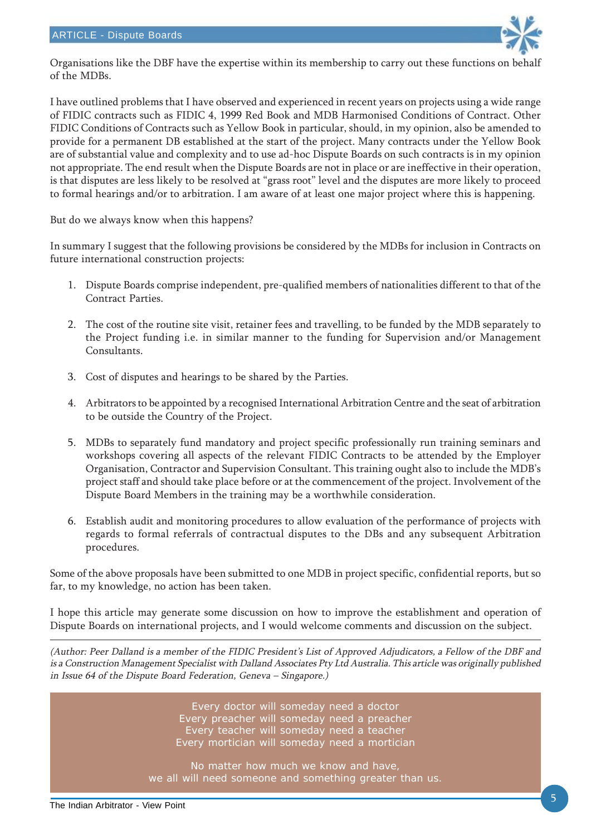

Organisations like the DBF have the expertise within its membership to carry out these functions on behalf of the MDBs.

I have outlined problems that I have observed and experienced in recent years on projects using a wide range of FIDIC contracts such as FIDIC 4, 1999 Red Book and MDB Harmonised Conditions of Contract. Other FIDIC Conditions of Contracts such as Yellow Book in particular, should, in my opinion, also be amended to provide for a permanent DB established at the start of the project. Many contracts under the Yellow Book are of substantial value and complexity and to use ad-hoc Dispute Boards on such contracts is in my opinion not appropriate. The end result when the Dispute Boards are not in place or are ineffective in their operation, is that disputes are less likely to be resolved at "grass root" level and the disputes are more likely to proceed to formal hearings and/or to arbitration. I am aware of at least one major project where this is happening.

But do we always know when this happens?

In summary I suggest that the following provisions be considered by the MDBs for inclusion in Contracts on future international construction projects:

- 1. Dispute Boards comprise independent, pre-qualified members of nationalities different to that of the Contract Parties.
- 2. The cost of the routine site visit, retainer fees and travelling, to be funded by the MDB separately to the Project funding i.e. in similar manner to the funding for Supervision and/or Management Consultants.
- 3. Cost of disputes and hearings to be shared by the Parties.
- 4. Arbitrators to be appointed by a recognised International Arbitration Centre and the seat of arbitration to be outside the Country of the Project.
- 5. MDBs to separately fund mandatory and project specific professionally run training seminars and workshops covering all aspects of the relevant FIDIC Contracts to be attended by the Employer Organisation, Contractor and Supervision Consultant. This training ought also to include the MDB's project staff and should take place before or at the commencement of the project. Involvement of the Dispute Board Members in the training may be a worthwhile consideration.
- 6. Establish audit and monitoring procedures to allow evaluation of the performance of projects with regards to formal referrals of contractual disputes to the DBs and any subsequent Arbitration procedures.

Some of the above proposals have been submitted to one MDB in project specific, confidential reports, but so far, to my knowledge, no action has been taken.

I hope this article may generate some discussion on how to improve the establishment and operation of Dispute Boards on international projects, and I would welcome comments and discussion on the subject.

(Author: Peer Dalland is a member of the FIDIC President's List of Approved Adjudicators, a Fellow of the DBF and is a Construction Management Specialist with Dalland Associates Pty Ltd Australia. This article was originally published in Issue 64 of the Dispute Board Federation, Geneva – Singapore.)

> Every doctor will someday need a doctor Every preacher will someday need a preacher Every teacher will someday need a teacher Every mortician will someday need a mortician

No matter how much we know and have, we all will need someone and something greater than us.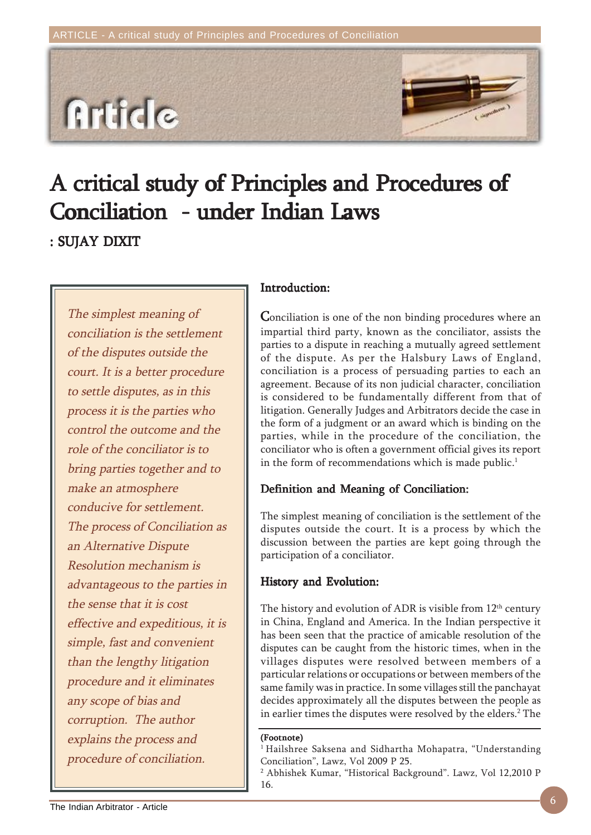

# A critical study of Principles and Procedures of Conciliation - under Indian Laws

: SUJAY DIXIT

The simplest meaning of conciliation is the settlement of the disputes outside the court. It is a better procedure to settle disputes, as in this process it is the parties who control the outcome and the role of the conciliator is to bring parties together and to make an atmosphere conducive for settlement. The process of Conciliation as an Alternative Dispute Resolution mechanism is advantageous to the parties in the sense that it is cost effective and expeditious, it is simple, fast and convenient than the lengthy litigation procedure and it eliminates any scope of bias and corruption. The author explains the process and procedure of conciliation.

### Introduction: Introduction:

Conciliation is one of the non binding procedures where an impartial third party, known as the conciliator, assists the parties to a dispute in reaching a mutually agreed settlement of the dispute. As per the Halsbury Laws of England, conciliation is a process of persuading parties to each an agreement. Because of its non judicial character, conciliation is considered to be fundamentally different from that of litigation. Generally Judges and Arbitrators decide the case in the form of a judgment or an award which is binding on the parties, while in the procedure of the conciliation, the conciliator who is often a government official gives its report in the form of recommendations which is made public.<sup>1</sup>

#### Definition and Meaning of Conciliation:

The simplest meaning of conciliation is the settlement of the disputes outside the court. It is a process by which the discussion between the parties are kept going through the participation of a conciliator.

#### History and Evolution:

The history and evolution of ADR is visible from  $12<sup>th</sup>$  century in China, England and America. In the Indian perspective it has been seen that the practice of amicable resolution of the disputes can be caught from the historic times, when in the villages disputes were resolved between members of a particular relations or occupations or between members of the same family was in practice. In some villages still the panchayat decides approximately all the disputes between the people as in earlier times the disputes were resolved by the elders.<sup>2</sup> The

#### (Footnote)

<sup>&</sup>lt;sup>1</sup> Hailshree Saksena and Sidhartha Mohapatra, "Understanding Conciliation", Lawz, Vol 2009 P 25.

<sup>2</sup> Abhishek Kumar, "Historical Background". Lawz, Vol 12,2010 P 16.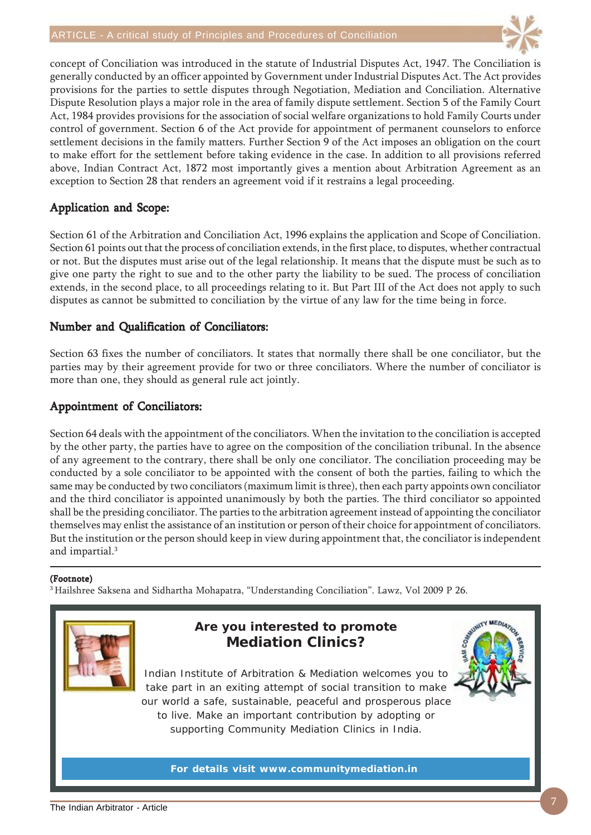

concept of Conciliation was introduced in the statute of Industrial Disputes Act, 1947. The Conciliation is generally conducted by an officer appointed by Government under Industrial Disputes Act. The Act provides provisions for the parties to settle disputes through Negotiation, Mediation and Conciliation. Alternative Dispute Resolution plays a major role in the area of family dispute settlement. Section 5 of the Family Court Act, 1984 provides provisions for the association of social welfare organizations to hold Family Courts under control of government. Section 6 of the Act provide for appointment of permanent counselors to enforce settlement decisions in the family matters. Further Section 9 of the Act imposes an obligation on the court to make effort for the settlement before taking evidence in the case. In addition to all provisions referred above, Indian Contract Act, 1872 most importantly gives a mention about Arbitration Agreement as an exception to Section 28 that renders an agreement void if it restrains a legal proceeding.

### Application and Scope:

Section 61 of the Arbitration and Conciliation Act, 1996 explains the application and Scope of Conciliation. Section 61 points out that the process of conciliation extends, in the first place, to disputes, whether contractual or not. But the disputes must arise out of the legal relationship. It means that the dispute must be such as to give one party the right to sue and to the other party the liability to be sued. The process of conciliation extends, in the second place, to all proceedings relating to it. But Part III of the Act does not apply to such disputes as cannot be submitted to conciliation by the virtue of any law for the time being in force.

#### Number and Qualification of Conciliators:

Section 63 fixes the number of conciliators. It states that normally there shall be one conciliator, but the parties may by their agreement provide for two or three conciliators. Where the number of conciliator is more than one, they should as general rule act jointly.

#### Appointment of Conciliators:

Section 64 deals with the appointment of the conciliators. When the invitation to the conciliation is accepted by the other party, the parties have to agree on the composition of the conciliation tribunal. In the absence of any agreement to the contrary, there shall be only one conciliator. The conciliation proceeding may be conducted by a sole conciliator to be appointed with the consent of both the parties, failing to which the same may be conducted by two conciliators (maximum limit is three), then each party appoints own conciliator and the third conciliator is appointed unanimously by both the parties. The third conciliator so appointed shall be the presiding conciliator. The parties to the arbitration agreement instead of appointing the conciliator themselves may enlist the assistance of an institution or person of their choice for appointment of conciliators. But the institution or the person should keep in view during appointment that, the conciliator is independent and impartial.3

#### (Footnote)

3 Hailshree Saksena and Sidhartha Mohapatra, "Understanding Conciliation". Lawz, Vol 2009 P 26.



### **Are you interested to promote Mediation Clinics?**

Indian Institute of Arbitration & Mediation welcomes you to take part in an exiting attempt of social transition to make our world a safe, sustainable, peaceful and prosperous place to live. Make an important contribution by adopting or supporting Community Mediation Clinics in India.

**For details visit www.communitymediation.in**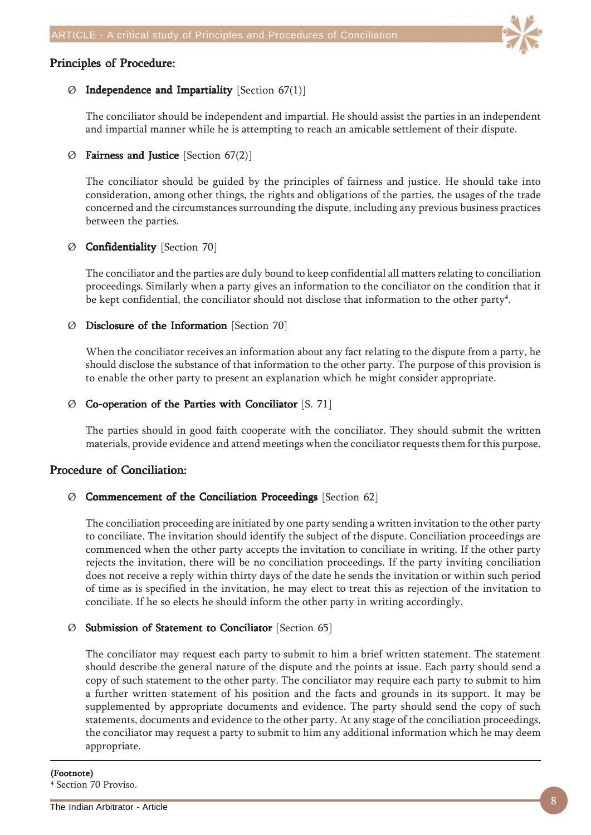#### Principles of Procedure:



#### $\emptyset$  Independence and Impartiality [Section 67(1)]

The conciliator should be independent and impartial. He should assist the parties in an independent and impartial manner while he is attempting to reach an amicable settlement of their dispute.

#### $\varnothing$  Fairness and Justice [Section 67(2)]

The conciliator should be guided by the principles of fairness and justice. He should take into consideration, among other things, the rights and obligations of the parties, the usages of the trade concerned and the circumstances surrounding the dispute, including any previous business practices between the parties.

#### Ø Confidentiality Confidentiality [Section 70]

The conciliator and the parties are duly bound to keep confidential all matters relating to conciliation proceedings. Similarly when a party gives an information to the conciliator on the condition that it be kept confidential, the conciliator should not disclose that information to the other party $^4\!$ .

#### $\emptyset$  Disclosure of the Information [Section 70]

When the conciliator receives an information about any fact relating to the dispute from a party, he should disclose the substance of that information to the other party. The purpose of this provision is to enable the other party to present an explanation which he might consider appropriate.

#### $\emptyset$  Co-operation of the Parties with Conciliator [S. 71]

The parties should in good faith cooperate with the conciliator. They should submit the written materials, provide evidence and attend meetings when the conciliator requests them for this purpose.

#### Procedure of Conciliation:

#### $\emptyset$  Commencement of the Conciliation Proceedings [Section 62]

The conciliation proceeding are initiated by one party sending a written invitation to the other party to conciliate. The invitation should identify the subject of the dispute. Conciliation proceedings are commenced when the other party accepts the invitation to conciliate in writing. If the other party rejects the invitation, there will be no conciliation proceedings. If the party inviting conciliation does not receive a reply within thirty days of the date he sends the invitation or within such period of time as is specified in the invitation, he may elect to treat this as rejection of the invitation to conciliate. If he so elects he should inform the other party in writing accordingly.

#### Ø Submission of Statement to Submission of to Conciliator Conciliator [Section 65]

The conciliator may request each party to submit to him a brief written statement. The statement should describe the general nature of the dispute and the points at issue. Each party should send a copy of such statement to the other party. The conciliator may require each party to submit to him a further written statement of his position and the facts and grounds in its support. It may be supplemented by appropriate documents and evidence. The party should send the copy of such statements, documents and evidence to the other party. At any stage of the conciliation proceedings, the conciliator may request a party to submit to him any additional information which he may deem appropriate.

#### (Footnote)

4 Section 70 Proviso.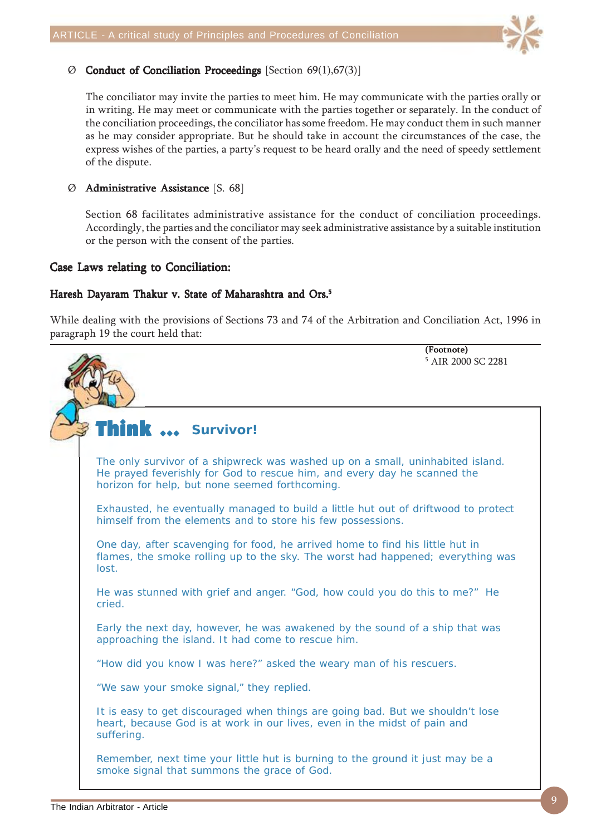

#### $\emptyset$  Conduct of Conciliation Proceedings [Section 69(1),67(3)]

The conciliator may invite the parties to meet him. He may communicate with the parties orally or in writing. He may meet or communicate with the parties together or separately. In the conduct of the conciliation proceedings, the conciliator has some freedom. He may conduct them in such manner as he may consider appropriate. But he should take in account the circumstances of the case, the express wishes of the parties, a party's request to be heard orally and the need of speedy settlement of the dispute.

#### Ø Administrative Assistance [S. 68]

Section 68 facilitates administrative assistance for the conduct of conciliation proceedings. Accordingly, the parties and the conciliator may seek administrative assistance by a suitable institution or the person with the consent of the parties.

#### Case Laws relating to Conciliation:

#### Haresh Dayaram Thakur v. State of Maharashtra and Ors.<sup>5</sup>

While dealing with the provisions of Sections 73 and 74 of the Arbitration and Conciliation Act, 1996 in paragraph 19 the court held that:

Think ... Think ... **Survivor!** The only survivor of a shipwreck was washed up on a small, uninhabited island. He prayed feverishly for God to rescue him, and every day he scanned the horizon for help, but none seemed forthcoming. Exhausted, he eventually managed to build a little hut out of driftwood to protect himself from the elements and to store his few possessions. One day, after scavenging for food, he arrived home to find his little hut in flames, the smoke rolling up to the sky. The worst had happened; everything was lost. He was stunned with grief and anger. "God, how could you do this to me?" He cried. Early the next day, however, he was awakened by the sound of a ship that was approaching the island. It had come to rescue him. "How did you know I was here?" asked the weary man of his rescuers. "We saw your smoke signal," they replied. It is easy to get discouraged when things are going bad. But we shouldn't lose heart, because God is at work in our lives, even in the midst of pain and suffering. Remember, next time your little hut is burning to the ground it just may be a smoke signal that summons the grace of God. (Footnote) 5 AIR 2000 SC 2281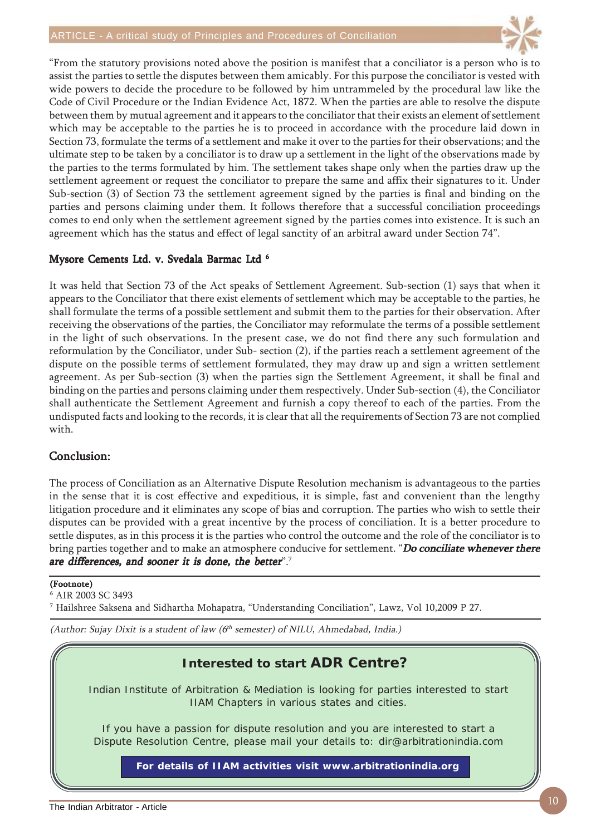

"From the statutory provisions noted above the position is manifest that a conciliator is a person who is to assist the parties to settle the disputes between them amicably. For this purpose the conciliator is vested with wide powers to decide the procedure to be followed by him untrammeled by the procedural law like the Code of Civil Procedure or the Indian Evidence Act, 1872. When the parties are able to resolve the dispute between them by mutual agreement and it appears to the conciliator that their exists an element of settlement which may be acceptable to the parties he is to proceed in accordance with the procedure laid down in Section 73, formulate the terms of a settlement and make it over to the parties for their observations; and the ultimate step to be taken by a conciliator is to draw up a settlement in the light of the observations made by the parties to the terms formulated by him. The settlement takes shape only when the parties draw up the settlement agreement or request the conciliator to prepare the same and affix their signatures to it. Under Sub-section (3) of Section 73 the settlement agreement signed by the parties is final and binding on the parties and persons claiming under them. It follows therefore that a successful conciliation proceedings comes to end only when the settlement agreement signed by the parties comes into existence. It is such an agreement which has the status and effect of legal sanctity of an arbitral award under Section 74".

#### Mysore Cements Ltd. v. Svedala Barmac Ltd 6

It was held that Section 73 of the Act speaks of Settlement Agreement. Sub-section (1) says that when it appears to the Conciliator that there exist elements of settlement which may be acceptable to the parties, he shall formulate the terms of a possible settlement and submit them to the parties for their observation. After receiving the observations of the parties, the Conciliator may reformulate the terms of a possible settlement in the light of such observations. In the present case, we do not find there any such formulation and reformulation by the Conciliator, under Sub- section (2), if the parties reach a settlement agreement of the dispute on the possible terms of settlement formulated, they may draw up and sign a written settlement agreement. As per Sub-section (3) when the parties sign the Settlement Agreement, it shall be final and binding on the parties and persons claiming under them respectively. Under Sub-section (4), the Conciliator shall authenticate the Settlement Agreement and furnish a copy thereof to each of the parties. From the undisputed facts and looking to the records, it is clear that all the requirements of Section 73 are not complied with.

#### Conclusion: Conclusion:

The process of Conciliation as an Alternative Dispute Resolution mechanism is advantageous to the parties in the sense that it is cost effective and expeditious, it is simple, fast and convenient than the lengthy litigation procedure and it eliminates any scope of bias and corruption. The parties who wish to settle their disputes can be provided with a great incentive by the process of conciliation. It is a better procedure to settle disputes, as in this process it is the parties who control the outcome and the role of the conciliator is to bring parties together and to make an atmosphere conducive for settlement. "Do conciliate whenever there are differences, and sooner it is done, the better".<sup>7</sup>

#### (Footnote)

6 AIR 2003 SC 3493

7 Hailshree Saksena and Sidhartha Mohapatra, "Understanding Conciliation", Lawz, Vol 10,2009 P 27.

(Author: Sujay Dixit is a student of law ( $6<sup>th</sup>$  semester) of NILU, Ahmedabad, India.)

### **Interested to start ADR Centre?**

Indian Institute of Arbitration & Mediation is looking for parties interested to start IIAM Chapters in various states and cities.

If you have a passion for dispute resolution and you are interested to start a Dispute Resolution Centre, please mail your details to: dir@arbitrationindia.com

**For details of IIAM activities visit www.arbitrationindia.org**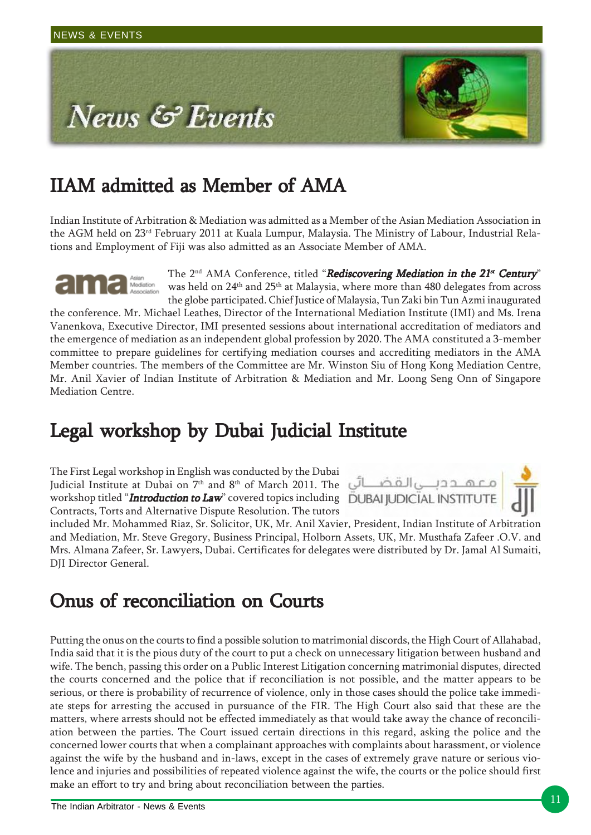

# IIAM admitted as Member of AMA

Indian Institute of Arbitration & Mediation was admitted as a Member of the Asian Mediation Association in the AGM held on 23<sup>rd</sup> February 2011 at Kuala Lumpur, Malaysia. The Ministry of Labour, Industrial Relations and Employment of Fiji was also admitted as an Associate Member of AMA.

The 2<sup>nd</sup> AMA Conference, titled "Rediscovering Mediation in the 21<sup>st</sup> Century" was held on 24<sup>th</sup> and 25<sup>th</sup> at Malaysia, where more than 480 delegates from across the globe participated. Chief Justice of Malaysia, Tun Zaki bin Tun Azmi inaugurated

the conference. Mr. Michael Leathes, Director of the International Mediation Institute (IMI) and Ms. Irena Vanenkova, Executive Director, IMI presented sessions about international accreditation of mediators and the emergence of mediation as an independent global profession by 2020. The AMA constituted a 3-member committee to prepare guidelines for certifying mediation courses and accrediting mediators in the AMA Member countries. The members of the Committee are Mr. Winston Siu of Hong Kong Mediation Centre, Mr. Anil Xavier of Indian Institute of Arbitration & Mediation and Mr. Loong Seng Onn of Singapore Mediation Centre.

### Legal workshop by Dubai Judicial Institute

The First Legal workshop in English was conducted by the Dubai Judicial Institute at Dubai on 7th and 8th of March 2011. The workshop titled "Introduction to Law" covered topics including DUBAI JUDICIAL INSTITUTE Contracts, Torts and Alternative Dispute Resolution. The tutors



included Mr. Mohammed Riaz, Sr. Solicitor, UK, Mr. Anil Xavier, President, Indian Institute of Arbitration and Mediation, Mr. Steve Gregory, Business Principal, Holborn Assets, UK, Mr. Musthafa Zafeer .O.V. and Mrs. Almana Zafeer, Sr. Lawyers, Dubai. Certificates for delegates were distributed by Dr. Jamal Al Sumaiti, DJI Director General.

### Onus of reconciliation on Courts

Putting the onus on the courts to find a possible solution to matrimonial discords, the High Court of Allahabad, India said that it is the pious duty of the court to put a check on unnecessary litigation between husband and wife. The bench, passing this order on a Public Interest Litigation concerning matrimonial disputes, directed the courts concerned and the police that if reconciliation is not possible, and the matter appears to be serious, or there is probability of recurrence of violence, only in those cases should the police take immediate steps for arresting the accused in pursuance of the FIR. The High Court also said that these are the matters, where arrests should not be effected immediately as that would take away the chance of reconciliation between the parties. The Court issued certain directions in this regard, asking the police and the concerned lower courts that when a complainant approaches with complaints about harassment, or violence against the wife by the husband and in-laws, except in the cases of extremely grave nature or serious violence and injuries and possibilities of repeated violence against the wife, the courts or the police should first make an effort to try and bring about reconciliation between the parties.